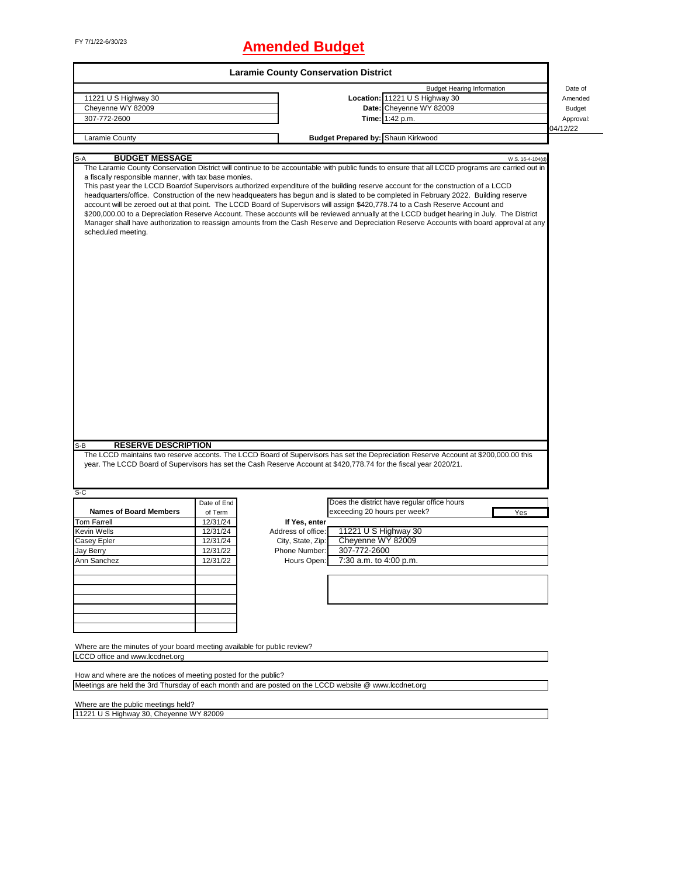## FY 7/1/22-6/30/23 **Amended Budget**

|                                                                                                                                                                                                                                                                                                                                                                                                                                                                                                                                                                                                                                                                                                                                                                                                                                                                                                                                     |             | <b>Laramie County Conservation District</b> |                              |                                             |                  |               |
|-------------------------------------------------------------------------------------------------------------------------------------------------------------------------------------------------------------------------------------------------------------------------------------------------------------------------------------------------------------------------------------------------------------------------------------------------------------------------------------------------------------------------------------------------------------------------------------------------------------------------------------------------------------------------------------------------------------------------------------------------------------------------------------------------------------------------------------------------------------------------------------------------------------------------------------|-------------|---------------------------------------------|------------------------------|---------------------------------------------|------------------|---------------|
|                                                                                                                                                                                                                                                                                                                                                                                                                                                                                                                                                                                                                                                                                                                                                                                                                                                                                                                                     |             |                                             |                              | <b>Budget Hearing Information</b>           |                  | Date of       |
| 11221 U S Highway 30                                                                                                                                                                                                                                                                                                                                                                                                                                                                                                                                                                                                                                                                                                                                                                                                                                                                                                                |             |                                             |                              | Location: 11221 U S Highway 30              |                  | Amended       |
| Cheyenne WY 82009                                                                                                                                                                                                                                                                                                                                                                                                                                                                                                                                                                                                                                                                                                                                                                                                                                                                                                                   |             |                                             |                              | Date: Cheyenne WY 82009                     |                  | <b>Budget</b> |
| 307-772-2600                                                                                                                                                                                                                                                                                                                                                                                                                                                                                                                                                                                                                                                                                                                                                                                                                                                                                                                        |             |                                             |                              | Time: 1:42 p.m.                             |                  | Approval:     |
| Laramie County                                                                                                                                                                                                                                                                                                                                                                                                                                                                                                                                                                                                                                                                                                                                                                                                                                                                                                                      |             |                                             |                              | <b>Budget Prepared by: Shaun Kirkwood</b>   |                  | 04/12/22      |
|                                                                                                                                                                                                                                                                                                                                                                                                                                                                                                                                                                                                                                                                                                                                                                                                                                                                                                                                     |             |                                             |                              |                                             |                  |               |
| <b>BUDGET MESSAGE</b><br>S-A                                                                                                                                                                                                                                                                                                                                                                                                                                                                                                                                                                                                                                                                                                                                                                                                                                                                                                        |             |                                             |                              |                                             | W.S. 16-4-104(d) |               |
| The Laramie County Conservation District will continue to be accountable with public funds to ensure that all LCCD programs are carried out in<br>a fiscally responsible manner, with tax base monies.<br>This past year the LCCD Boardof Supervisors authorized expenditure of the building reserve account for the construction of a LCCD<br>headquarters/office. Construction of the new headqueaters has begun and is slated to be completed in February 2022. Building reserve<br>account will be zeroed out at that point. The LCCD Board of Supervisors will assign \$420,778.74 to a Cash Reserve Account and<br>\$200,000.00 to a Depreciation Reserve Account. These accounts will be reviewed annually at the LCCD budget hearing in July. The District<br>Manager shall have authorization to reassign amounts from the Cash Reserve and Depreciation Reserve Accounts with board approval at any<br>scheduled meeting. |             |                                             |                              |                                             |                  |               |
| <b>RESERVE DESCRIPTION</b><br>S-B<br>The LCCD maintains two reserve acconts. The LCCD Board of Supervisors has set the Depreciation Reserve Account at \$200,000.00 this<br>year. The LCCD Board of Supervisors has set the Cash Reserve Account at \$420,778.74 for the fiscal year 2020/21.                                                                                                                                                                                                                                                                                                                                                                                                                                                                                                                                                                                                                                       |             |                                             |                              |                                             |                  |               |
| $S-C$                                                                                                                                                                                                                                                                                                                                                                                                                                                                                                                                                                                                                                                                                                                                                                                                                                                                                                                               |             |                                             |                              |                                             |                  |               |
|                                                                                                                                                                                                                                                                                                                                                                                                                                                                                                                                                                                                                                                                                                                                                                                                                                                                                                                                     | Date of End |                                             |                              | Does the district have regular office hours |                  |               |
| <b>Names of Board Members</b>                                                                                                                                                                                                                                                                                                                                                                                                                                                                                                                                                                                                                                                                                                                                                                                                                                                                                                       | of Term     |                                             | exceeding 20 hours per week? |                                             | Yes              |               |
| <b>Tom Farrell</b>                                                                                                                                                                                                                                                                                                                                                                                                                                                                                                                                                                                                                                                                                                                                                                                                                                                                                                                  | 12/31/24    | If Yes, enter                               |                              |                                             |                  |               |
| <b>Kevin Wells</b>                                                                                                                                                                                                                                                                                                                                                                                                                                                                                                                                                                                                                                                                                                                                                                                                                                                                                                                  | 12/31/24    | Address of office:                          | 11221 U S Highway 30         |                                             |                  |               |
| Casey Epler                                                                                                                                                                                                                                                                                                                                                                                                                                                                                                                                                                                                                                                                                                                                                                                                                                                                                                                         | 12/31/24    | City, State, Zip:                           | Cheyenne WY 82009            |                                             |                  |               |
| Jay Berry                                                                                                                                                                                                                                                                                                                                                                                                                                                                                                                                                                                                                                                                                                                                                                                                                                                                                                                           | 12/31/22    | Phone Number:                               | 307-772-2600                 |                                             |                  |               |
| Ann Sanchez                                                                                                                                                                                                                                                                                                                                                                                                                                                                                                                                                                                                                                                                                                                                                                                                                                                                                                                         | 12/31/22    | Hours Open:                                 | 7:30 a.m. to 4:00 p.m.       |                                             |                  |               |
|                                                                                                                                                                                                                                                                                                                                                                                                                                                                                                                                                                                                                                                                                                                                                                                                                                                                                                                                     |             |                                             |                              |                                             |                  |               |
|                                                                                                                                                                                                                                                                                                                                                                                                                                                                                                                                                                                                                                                                                                                                                                                                                                                                                                                                     |             |                                             |                              |                                             |                  |               |
| Where are the minutes of your board meeting available for public review?                                                                                                                                                                                                                                                                                                                                                                                                                                                                                                                                                                                                                                                                                                                                                                                                                                                            |             |                                             |                              |                                             |                  |               |
| LCCD office and www.lccdnet.org                                                                                                                                                                                                                                                                                                                                                                                                                                                                                                                                                                                                                                                                                                                                                                                                                                                                                                     |             |                                             |                              |                                             |                  |               |
| How and where are the notices of meeting posted for the public?<br>Meetings are held the 3rd Thursday of each month and are posted on the LCCD website @ www.lccdnet.org                                                                                                                                                                                                                                                                                                                                                                                                                                                                                                                                                                                                                                                                                                                                                            |             |                                             |                              |                                             |                  |               |

Where are the public meetings held?

11221 U S Highway 30, Cheyenne WY 82009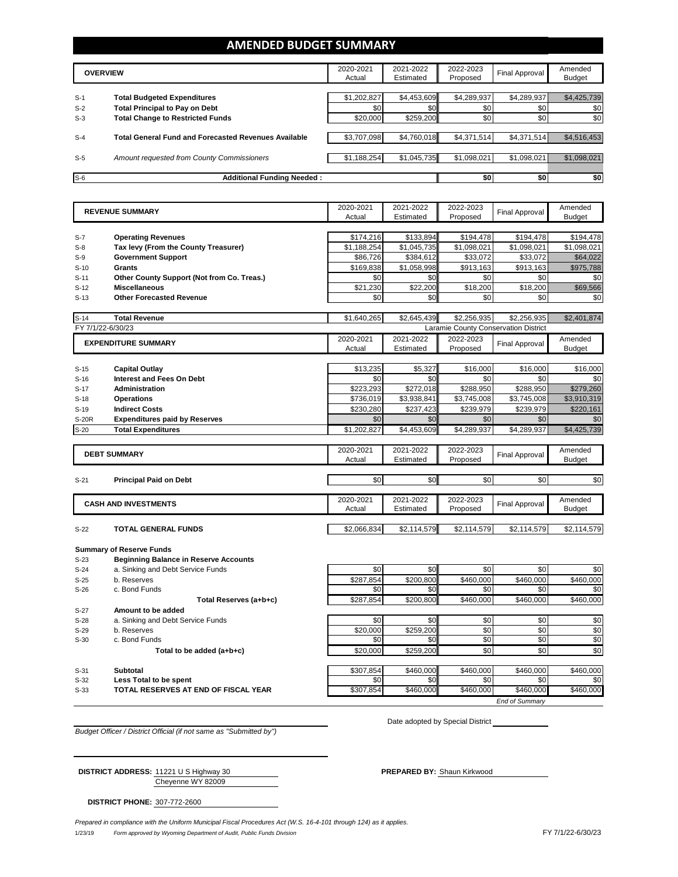## **AMENDED BUDGET SUMMARY**

|       | <b>OVERVIEW</b>                                             | 2020-2021<br>Actual | 2021-2022<br>Estimated | 2022-2023<br>Proposed | Final Approval | Amended<br><b>Budget</b> |
|-------|-------------------------------------------------------------|---------------------|------------------------|-----------------------|----------------|--------------------------|
| $S-1$ | <b>Total Budgeted Expenditures</b>                          | \$1,202,827         | \$4,453,609            | \$4,289,937           | \$4,289,937    | \$4,425,739              |
| $S-2$ | <b>Total Principal to Pay on Debt</b>                       | \$0                 | \$0                    | \$0                   | \$0            | \$0                      |
| $S-3$ | <b>Total Change to Restricted Funds</b>                     | \$20,000            | \$259.200              | \$0                   | \$0            | \$0                      |
|       |                                                             |                     |                        |                       |                |                          |
| $S-4$ | <b>Total General Fund and Forecasted Revenues Available</b> | \$3,707,098         | \$4,760,018            | \$4,371,514           | \$4,371,514    | \$4,516,453              |
|       |                                                             |                     |                        |                       |                |                          |
| $S-5$ | Amount requested from County Commissioners                  | \$1,188,254         | \$1,045,735            | \$1,098,021           | \$1,098,021    | \$1,098,021              |
|       |                                                             |                     |                        |                       |                |                          |
| $S-6$ | <b>Additional Funding Needed:</b>                           |                     |                        | \$0                   | \$0            | \$0                      |

|              | <b>REVENUE SUMMARY</b>                       | 2020-2021   | 2021-2022   | 2022-2023                            | <b>Final Approval</b>              | Amended                                                                                      |
|--------------|----------------------------------------------|-------------|-------------|--------------------------------------|------------------------------------|----------------------------------------------------------------------------------------------|
|              |                                              | Actual      | Estimated   | Proposed                             |                                    | <b>Budget</b>                                                                                |
|              |                                              |             |             |                                      |                                    |                                                                                              |
| $S-7$        | <b>Operating Revenues</b>                    | \$174,216   | \$133,894   | \$194,478                            | \$194,478                          | \$194,478                                                                                    |
| $S-8$        | Tax levy (From the County Treasurer)         | \$1,188,254 | \$1,045,735 | \$1,098,021                          | \$1,098,021                        | \$1,098,021                                                                                  |
| $S-9$        | <b>Government Support</b>                    | \$86,726    | \$384,612   | \$33,072                             | \$33,072                           | \$64,022                                                                                     |
| $S-10$       | Grants                                       | \$169,838   | \$1,058,998 | \$913,163                            | \$913,163                          | \$975,788                                                                                    |
| $S-11$       | Other County Support (Not from Co. Treas.)   | \$0         | \$0         | \$0                                  | \$0                                | \$0                                                                                          |
| $S-12$       | <b>Miscellaneous</b>                         | \$21,230    | \$22,200    | \$18,200                             | \$18,200                           | \$69,566                                                                                     |
| $S-13$       | <b>Other Forecasted Revenue</b>              | \$0         | \$0         | \$0                                  | \$0                                | \$0                                                                                          |
|              |                                              |             |             |                                      |                                    |                                                                                              |
| $S-14$       | <b>Total Revenue</b>                         | \$1,640,265 | \$2,645,439 | \$2,256,935                          | \$2,256,935                        | \$2,401,874                                                                                  |
|              | FY 7/1/22-6/30/23                            |             |             | Laramie County Conservation District |                                    |                                                                                              |
|              | <b>EXPENDITURE SUMMARY</b>                   | 2020-2021   | 2021-2022   | 2022-2023                            |                                    | Amended                                                                                      |
|              |                                              | Actual      | Estimated   | Proposed                             | <b>Final Approval</b>              | <b>Budget</b>                                                                                |
|              |                                              |             |             |                                      |                                    |                                                                                              |
| $S-15$       | <b>Capital Outlay</b>                        | \$13,235    | \$5,327     | \$16,000                             | \$16,000                           | \$16,000                                                                                     |
| $S-16$       | <b>Interest and Fees On Debt</b>             | \$0         | \$0         | \$0                                  | \$0                                | \$0                                                                                          |
| $S-17$       | Administration                               | \$223,293   | \$272,018   | \$288,950                            | \$288,950                          | \$279,260                                                                                    |
| $S-18$       | <b>Operations</b>                            | \$736,019   | \$3,938,841 | \$3,745,008                          | \$3,745,008                        | \$3,910,319                                                                                  |
| $S-19$       | <b>Indirect Costs</b>                        | \$230,280   | \$237,423   | \$239,979                            | \$239,979                          | \$220,161                                                                                    |
| <b>S-20R</b> | <b>Expenditures paid by Reserves</b>         | \$0         | \$0         | \$0                                  | \$0                                | \$0                                                                                          |
| $S-20$       | <b>Total Expenditures</b>                    | \$1,202,827 | \$4,453,609 | \$4,289,937                          | \$4,289,937                        | \$4,425,739                                                                                  |
|              |                                              |             |             |                                      |                                    |                                                                                              |
|              | <b>DEBT SUMMARY</b>                          | 2020-2021   | 2021-2022   | 2022-2023                            |                                    | Amended                                                                                      |
|              |                                              | Actual      | Estimated   | Proposed                             | <b>Final Approval</b>              | <b>Budget</b>                                                                                |
|              |                                              |             |             |                                      |                                    |                                                                                              |
| $S-21$       | <b>Principal Paid on Debt</b>                | \$0         | \$0         | \$0                                  | \$0                                | \$0                                                                                          |
|              |                                              |             |             |                                      |                                    |                                                                                              |
|              | <b>CASH AND INVESTMENTS</b>                  | 2020-2021   | 2021-2022   | 2022-2023                            | <b>Final Approval</b>              | Amended                                                                                      |
|              |                                              |             |             |                                      |                                    |                                                                                              |
|              |                                              | Actual      | Estimated   | Proposed                             |                                    | <b>Budget</b>                                                                                |
|              |                                              |             |             |                                      |                                    |                                                                                              |
| $S-22$       | <b>TOTAL GENERAL FUNDS</b>                   | \$2,066,834 | \$2,114,579 | \$2,114,579                          | \$2,114,579                        |                                                                                              |
|              |                                              |             |             |                                      |                                    |                                                                                              |
|              | <b>Summary of Reserve Funds</b>              |             |             |                                      |                                    |                                                                                              |
| $S-23$       | <b>Beginning Balance in Reserve Accounts</b> |             |             |                                      |                                    |                                                                                              |
| $S-24$       | a. Sinking and Debt Service Funds            | \$0         | \$0         | \$0                                  | \$0                                |                                                                                              |
| $S-25$       | b. Reserves                                  | \$287,854   | \$200,800   | \$460,000                            | \$460,000                          |                                                                                              |
| $S-26$       | c. Bond Funds                                | \$0         | \$0         | \$0                                  | \$0                                |                                                                                              |
|              | Total Reserves (a+b+c)                       | \$287,854   | \$200,800   | \$460,000                            | \$460,000                          |                                                                                              |
| $S-27$       | Amount to be added                           |             |             |                                      |                                    |                                                                                              |
| $S-28$       | a. Sinking and Debt Service Funds            | \$0         | \$0         | \$0                                  | \$0                                |                                                                                              |
| $S-29$       | b. Reserves                                  | \$20,000    | \$259,200   | \$0                                  | \$0                                |                                                                                              |
| $S-30$       | c. Bond Funds                                | \$0         | \$0         | \$0                                  | \$0                                |                                                                                              |
|              | Total to be added (a+b+c)                    | \$20,000    | \$259,200   | \$0                                  | \$0                                |                                                                                              |
|              |                                              |             |             |                                      |                                    |                                                                                              |
| $S-31$       | Subtotal                                     | \$307,854   | \$460,000   | \$460,000                            | \$460,000                          | \$460,000                                                                                    |
| $S-32$       | Less Total to be spent                       | \$0         | \$0         | \$0                                  | \$0                                | \$0                                                                                          |
| $S-33$       | TOTAL RESERVES AT END OF FISCAL YEAR         | \$307.854   | \$460.000   | \$460.000                            | \$460,000<br><b>End of Summarv</b> | \$2,114,579<br>\$0<br>\$460,000<br>\$0<br>\$460,000<br>\$0<br>\$0<br>\$0<br>\$0<br>\$460.000 |

*Budget Officer / District Official (if not same as "Submitted by")*

Date adopted by Special District

Cheyenne WY 82009 **DISTRICT ADDRESS:** 11221 U S Highway 30 **PREPARED BY:** Shaun Kirkwood

**DISTRICT PHONE:** 307-772-2600

1/23/19 *Form approved by Wyoming Department of Audit, Public Funds Division* FY 7/1/22-6/30/23 *Prepared in compliance with the Uniform Municipal Fiscal Procedures Act (W.S. 16-4-101 through 124) as it applies.*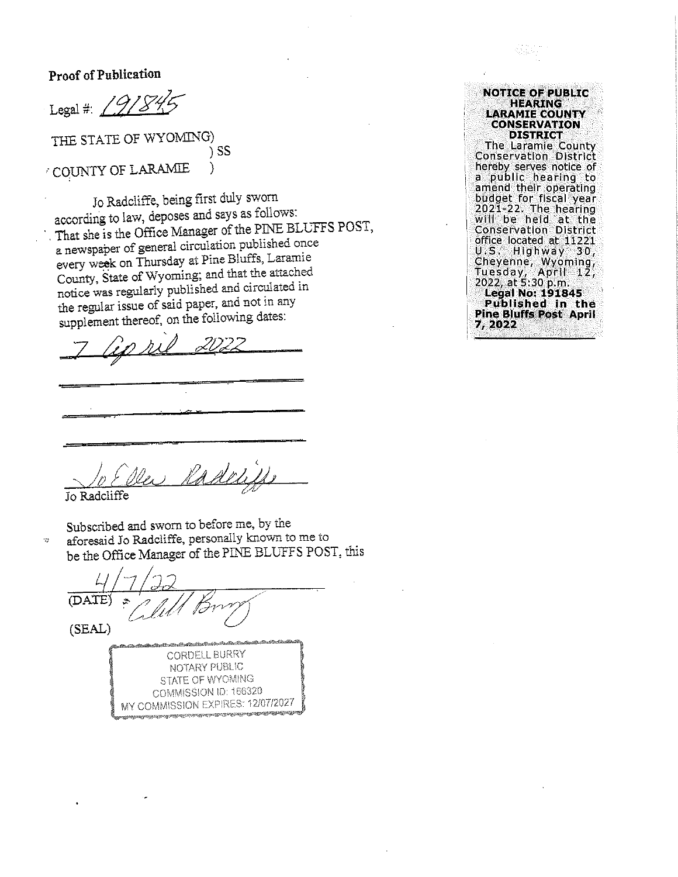Proof of Publication

Legal #:  $29$ 

THE STATE OF WYOMING) ) SS COUNTY OF LARAMIE ì

Jo Radcliffe, being first duly sworn according to law, deposes and says as follows: That she is the Office Manager of the PINE BLUFFS POST, a newspaper of general circulation published once every week on Thursday at Pine Bluffs, Laramie County, State of Wyoming; and that the attached notice was regularly published and circulated in the regular issue of said paper, and not in any supplement thereof, on the following dates:

 $G$ n hil

Radelitte

Jo Radcliffe

 $\ddot{v}$ 

Subscribed and sworn to before me, by the aforesaid Jo Radcliffe, personally known to me to be the Office Manager of the PINE BLUFFS POST, this

(DATE) (SEAL)

**CORDELL BURRY** NOTARY PUBLIC STATE OF WYOMING COMMISSION ID: 166320 MY COMMISSION EXPIRES: 12/07/2027

| NOTICE OF PUBLIC                                        |
|---------------------------------------------------------|
| <b>HEARING</b><br><b>LARAMIE COUNTY</b>                 |
| CONSERVATION                                            |
| DISTRICT                                                |
| <b>The Laramie County</b>                               |
| Conservation District                                   |
| hereby serves notice of                                 |
| a public hearing to                                     |
| amend their operating                                   |
| budget for fiscal year                                  |
| 2021-22. The hearing                                    |
| will be held at the                                     |
| <b>Conservation District</b><br>office located at 11221 |
| U.S. Highway 30,                                        |
|                                                         |
| Cheyenne, Wyoming,<br>Tuesday, April 12,                |
| 2022, at 5:30 p.m.                                      |
| Legal No: 191845                                        |
| Published in the                                        |
| <b>Pine Bluffs Post April</b>                           |
| 2, 2022                                                 |